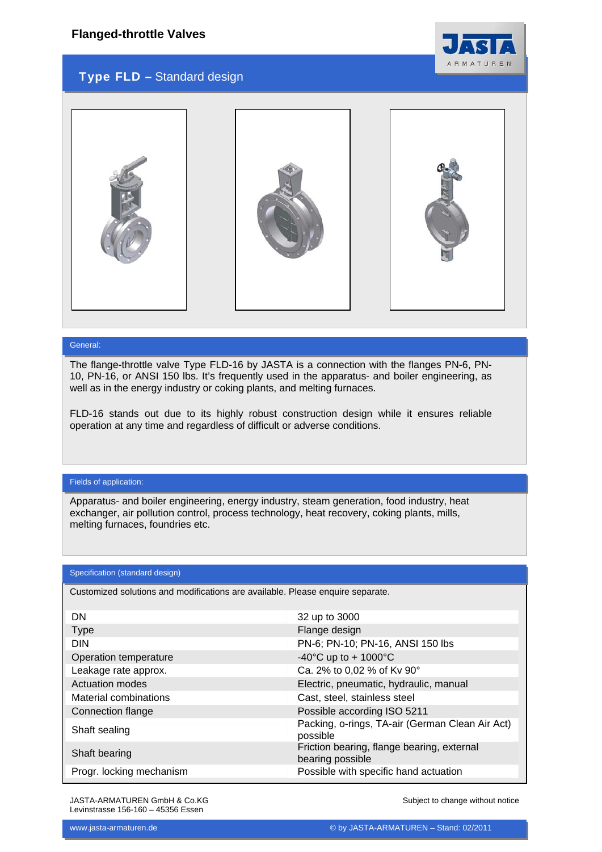





### General:

The flange-throttle valve Type FLD-16 by JASTA is a connection with the flanges PN-6, PN-10, PN-16, or ANSI 150 lbs. It's frequently used in the apparatus- and boiler engineering, as well as in the energy industry or coking plants, and melting furnaces.

FLD-16 stands out due to its highly robust construction design while it ensures reliable operation at any time and regardless of difficult or adverse conditions.

### Fields of application:

Apparatus- and boiler engineering, energy industry, steam generation, food industry, heat exchanger, air pollution control, process technology, heat recovery, coking plants, mills, melting furnaces, foundries etc.

#### Specification (standard design)

Customized solutions and modifications are available. Please enquire separate.

| DN                       | 32 up to 3000                                                  |
|--------------------------|----------------------------------------------------------------|
| <b>Type</b>              | Flange design                                                  |
| <b>DIN</b>               | PN-6; PN-10; PN-16, ANSI 150 lbs                               |
| Operation temperature    | -40°C up to + 1000°C                                           |
| Leakage rate approx.     | Ca. 2% to 0,02 % of Kv 90°                                     |
| <b>Actuation modes</b>   | Electric, pneumatic, hydraulic, manual                         |
| Material combinations    | Cast, steel, stainless steel                                   |
| Connection flange        | Possible according ISO 5211                                    |
| Shaft sealing            | Packing, o-rings, TA-air (German Clean Air Act)<br>possible    |
| Shaft bearing            | Friction bearing, flange bearing, external<br>bearing possible |
| Progr. locking mechanism | Possible with specific hand actuation                          |

JASTA-ARMATUREN GmbH & Co.KG Levinstrasse 156-160 – 45356 Essen

Subject to change without notice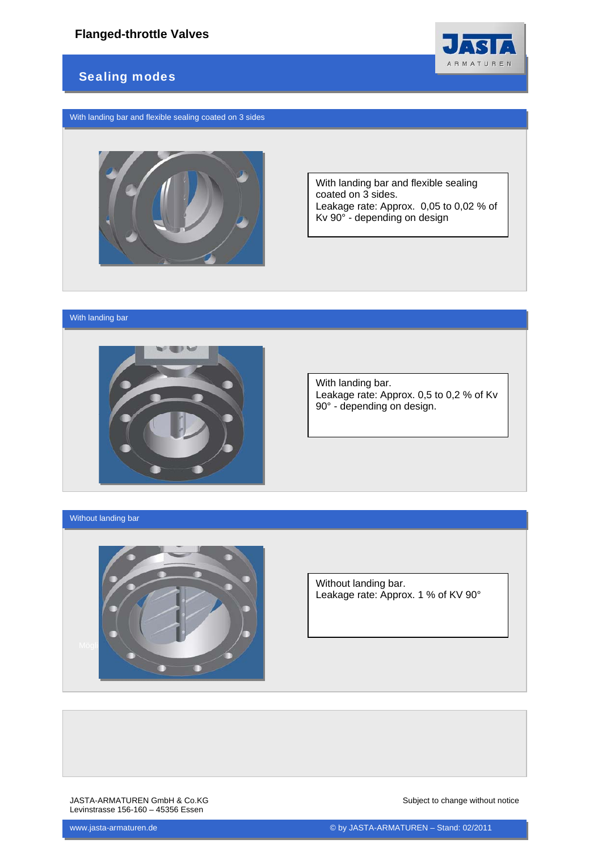

## Sealing modes

With landing bar and flexible sealing coated on 3 sides



With landing bar and flexible sealing coated on 3 sides. Leakage rate: Approx. 0,05 to 0,02 % of Kv 90° - depending on design

### With landing bar



With landing bar. Leakage rate: Approx. 0,5 to 0,2 % of Kv 90° - depending on design.

### Without landing bar



Without landing bar. Leakage rate: Approx. 1 % of KV 90°

JASTA-ARMATUREN GmbH & Co.KG Levinstrasse 156-160 – 45356 Essen

Subject to change without notice